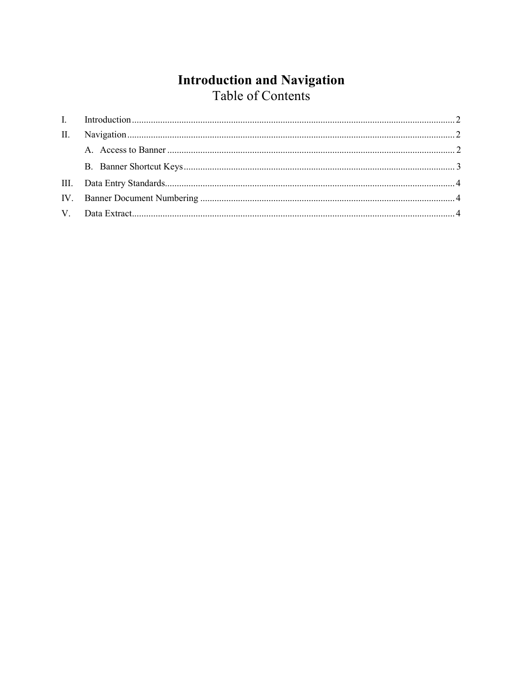# **Introduction and Navigation**<br>Table of Contents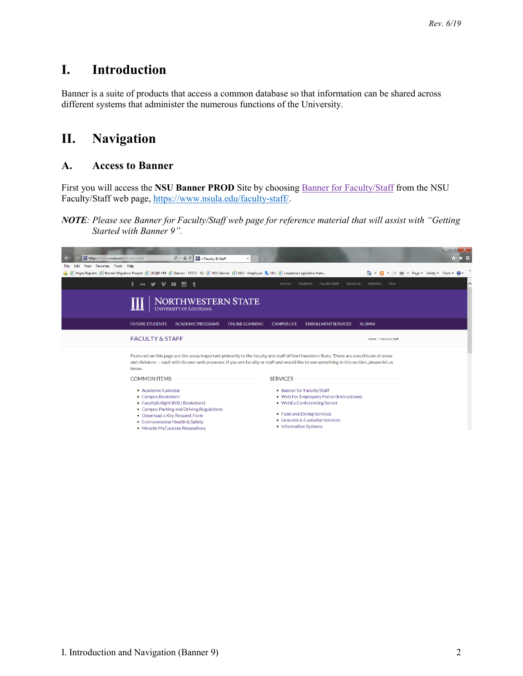## <span id="page-1-0"></span>**I. Introduction**

Banner is a suite of products that access a common database so that information can be shared across different systems that administer the numerous functions of the University.

## <span id="page-1-1"></span>**II. Navigation**

#### <span id="page-1-2"></span>**A. Access to Banner**

First you will access the **NSU Banner PROD** Site by choosing Banner for Faculty/Staff from the NSU Faculty/Staff web page, [https://www.nsula.edu/faculty-staff/.](https://www.nsula.edu/faculty-staff/)

#### *NOTE: Please see Banner for Faculty/Staff web page for reference material that will assist with "Getting Started with Banner 9".*

| M https://www.nsula.edu/faculty-staff/                                                                                                                                                                                                                                                        | $\mathcal{P}$ $\sim$ $\mathbf{a}$ $\mathbf{C}$ $\mathbf{N}$ - Faculty & Staff<br>$\times$                                                                                                                                       |                                                                                                                                                                                                 | <u> 1101 1101 11</u><br>$m \times n$  |  |
|-----------------------------------------------------------------------------------------------------------------------------------------------------------------------------------------------------------------------------------------------------------------------------------------------|---------------------------------------------------------------------------------------------------------------------------------------------------------------------------------------------------------------------------------|-------------------------------------------------------------------------------------------------------------------------------------------------------------------------------------------------|---------------------------------------|--|
| View Favorites Tools Help<br>Edit<br>File                                                                                                                                                                                                                                                     |                                                                                                                                                                                                                                 |                                                                                                                                                                                                 |                                       |  |
|                                                                                                                                                                                                                                                                                               | 승 은 Argos Reports 은 Banner Migration Project 은 1KQID-FM 은 Banner - TEST2 - R2 은 NSU Banner 은 NSU - Employee 로 ULS 은 Louisiana Legislative Audi                                                                                  |                                                                                                                                                                                                 | A → R → ⊡<br>Page Safety Tools 2<br>曲 |  |
|                                                                                                                                                                                                                                                                                               | 同士<br>$\bullet$<br>$\bullet\bullet$                                                                                                                                                                                             | Students<br>Faculty/Staff<br>About Us<br><b>myNSU</b>                                                                                                                                           | Athletics<br>^<br>Give                |  |
|                                                                                                                                                                                                                                                                                               | NORTHWESTERN STATE<br><b>UNIVERSITY OF LOUISIANA</b>                                                                                                                                                                            |                                                                                                                                                                                                 |                                       |  |
|                                                                                                                                                                                                                                                                                               | <b>FUTURE STUDENTS</b><br><b>ACADEMIC PROGRAMS</b><br><b>ONLINE LEARNING</b>                                                                                                                                                    | <b>CAMPUS LIFE</b><br><b>ENROLLMENT SERVICES</b>                                                                                                                                                | <b>ALUMNI</b>                         |  |
|                                                                                                                                                                                                                                                                                               | <b>FACULTY &amp; STAFF</b>                                                                                                                                                                                                      |                                                                                                                                                                                                 | Home / Faculty & Staff                |  |
| Featured on this page are the areas important primarily to the faculty and staff of Northwestern State. There are a multitude of areas<br>and divisions - each with its own web presence. If you are faculty or staff and would like to see something in this section, please let us<br>know. |                                                                                                                                                                                                                                 |                                                                                                                                                                                                 |                                       |  |
|                                                                                                                                                                                                                                                                                               | <b>COMMON ITEMS</b>                                                                                                                                                                                                             | <b>SERVICES</b>                                                                                                                                                                                 |                                       |  |
|                                                                                                                                                                                                                                                                                               | • Academic Calendar<br>• Campus Bookstore<br>• FacultyEnlight (NSU Bookstore)<br>• Campus Parking and Driving Regulations<br>• Download a Key Request Form<br>• Environmental Health & Safety<br>• Moodle MyCourses Respository | • Banner for Faculty/Staff<br>• Web For Employees Portal (Instructions)<br>• WebEx Conferencing Server<br>• Food and Dining Services<br>• Grounds & Custodial Services<br>• Information Systems |                                       |  |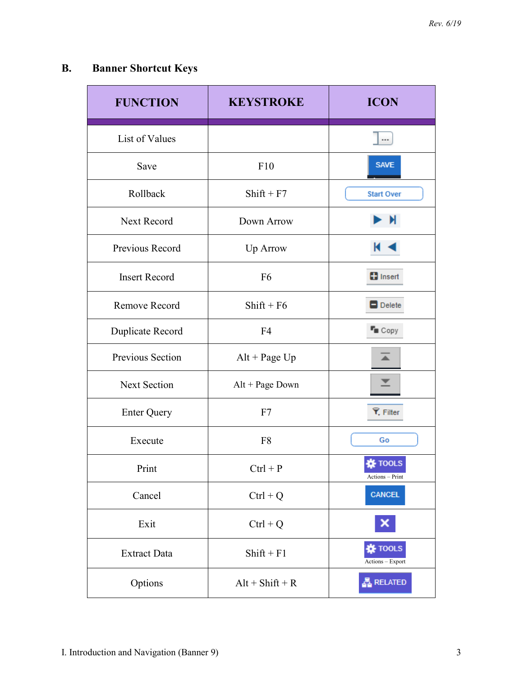# <span id="page-2-0"></span>**B. Banner Shortcut Keys**

| <b>FUNCTION</b>      | <b>KEYSTROKE</b>  | <b>ICON</b>                        |
|----------------------|-------------------|------------------------------------|
| List of Values       |                   |                                    |
| Save                 | F10               | <b>SAVE</b>                        |
| Rollback             | $Shift + F7$      | <b>Start Over</b>                  |
| Next Record          | Down Arrow        | N                                  |
| Previous Record      | Up Arrow          |                                    |
| <b>Insert Record</b> | F <sub>6</sub>    | <b>D</b> Insert                    |
| Remove Record        | $Shift + F6$      | $\Box$ Delete                      |
| Duplicate Record     | F <sub>4</sub>    | $T_{\blacksquare}$ Copy            |
| Previous Section     | $Alt + Page Up$   |                                    |
| <b>Next Section</b>  | Alt + Page Down   |                                    |
| <b>Enter Query</b>   | F7                | Y. Filter                          |
| Execute              | F <sub>8</sub>    | Go                                 |
| Print                | $Ctrl + P$        | <b>娄 TOOLS</b><br>Actions - Print  |
| Cancel               | $Ctrl + Q$        | <b>CANCEL</b>                      |
| Exit                 | $Ctrl + Q$        |                                    |
| <b>Extract Data</b>  | $Shift + F1$      | <b>卷 TOOLS</b><br>Actions - Export |
| Options              | $Alt + Shift + R$ | <u> A</u> RELATED                  |